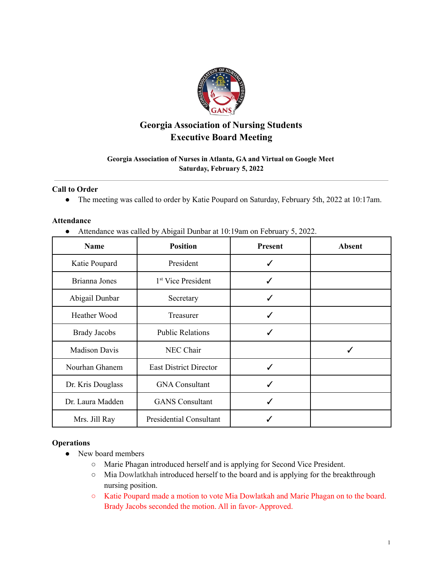

# **Georgia Association of Nursing Students Executive Board Meeting**

# **Georgia Association of Nurses in Atlanta, GA and Virtual on Google Meet Saturday, February 5, 2022**

## **Call to Order**

● The meeting was called to order by Katie Poupard on Saturday, February 5th, 2022 at 10:17am.

## **Attendance**

● Attendance was called by Abigail Dunbar at 10:19am on February 5, 2022.

| <b>Name</b>          | <b>Position</b>                | <b>Present</b> | <b>Absent</b> |
|----------------------|--------------------------------|----------------|---------------|
| Katie Poupard        | President                      | ✓              |               |
| Brianna Jones        | 1 <sup>st</sup> Vice President | ✓              |               |
| Abigail Dunbar       | Secretary                      | ✓              |               |
| <b>Heather Wood</b>  | Treasurer                      | ✓              |               |
| <b>Brady Jacobs</b>  | <b>Public Relations</b>        | ✓              |               |
| <b>Madison Davis</b> | NEC Chair                      |                |               |
| Nourhan Ghanem       | <b>East District Director</b>  | ✓              |               |
| Dr. Kris Douglass    | <b>GNA Consultant</b>          | ✓              |               |
| Dr. Laura Madden     | <b>GANS</b> Consultant         |                |               |
| Mrs. Jill Ray        | <b>Presidential Consultant</b> |                |               |

## **Operations**

- New board members
	- Marie Phagan introduced herself and is applying for Second Vice President.
	- Mia Dowlatkhah introduced herself to the board and is applying for the breakthrough nursing position.
	- Katie Poupard made a motion to vote Mia Dowlatkah and Marie Phagan on to the board. Brady Jacobs seconded the motion. All in favor- Approved.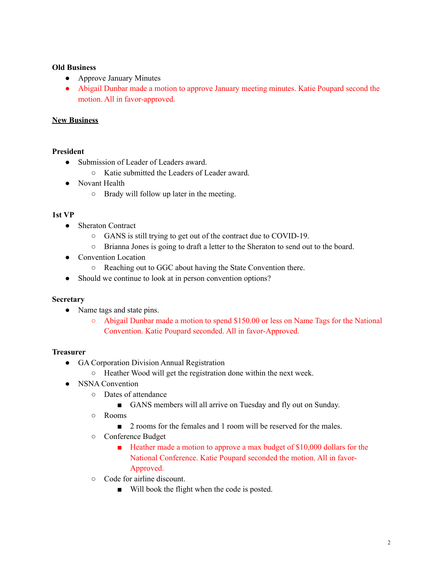## **Old Business**

- Approve January Minutes
- Abigail Dunbar made a motion to approve January meeting minutes. Katie Poupard second the motion. All in favor-approved.

# **New Business**

# **President**

- Submission of Leader of Leaders award.
	- Katie submitted the Leaders of Leader award.
- Novant Health
	- Brady will follow up later in the meeting.

## **1st VP**

- Sheraton Contract
	- GANS is still trying to get out of the contract due to COVID-19.
	- Brianna Jones is going to draft a letter to the Sheraton to send out to the board.
- Convention Location
	- Reaching out to GGC about having the State Convention there.
- Should we continue to look at in person convention options?

## **Secretary**

- Name tags and state pins.
	- Abigail Dunbar made a motion to spend \$150.00 or less on Name Tags for the National Convention. Katie Poupard seconded. All in favor-Approved.

## **Treasurer**

- GA Corporation Division Annual Registration
	- Heather Wood will get the registration done within the next week.
- NSNA Convention
	- Dates of attendance
		- GANS members will all arrive on Tuesday and fly out on Sunday.
	- Rooms
		- 2 rooms for the females and 1 room will be reserved for the males.
	- Conference Budget
		- Heather made a motion to approve a max budget of \$10,000 dollars for the National Conference. Katie Poupard seconded the motion. All in favor-Approved.
	- Code for airline discount.
		- Will book the flight when the code is posted.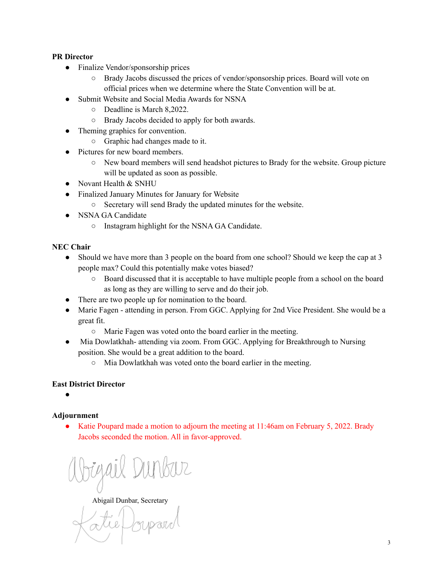# **PR Director**

- Finalize Vendor/sponsorship prices
	- Brady Jacobs discussed the prices of vendor/sponsorship prices. Board will vote on official prices when we determine where the State Convention will be at.
- **Submit Website and Social Media Awards for NSNA** 
	- Deadline is March 8,2022.
	- Brady Jacobs decided to apply for both awards.
- Theming graphics for convention.
	- Graphic had changes made to it.
- Pictures for new board members.
	- New board members will send headshot pictures to Brady for the website. Group picture will be updated as soon as possible.
- Novant Health & SNHU
- Finalized January Minutes for January for Website
	- Secretary will send Brady the updated minutes for the website.
- NSNA GA Candidate
	- Instagram highlight for the NSNA GA Candidate.

# **NEC Chair**

- Should we have more than 3 people on the board from one school? Should we keep the cap at 3 people max? Could this potentially make votes biased?
	- Board discussed that it is acceptable to have multiple people from a school on the board as long as they are willing to serve and do their job.
- There are two people up for nomination to the board.
- Marie Fagen attending in person. From GGC. Applying for 2nd Vice President. She would be a great fit.
	- Marie Fagen was voted onto the board earlier in the meeting.
- Mia Dowlatkhah- attending via zoom. From GGC. Applying for Breakthrough to Nursing position. She would be a great addition to the board.
	- Mia Dowlatkhah was voted onto the board earlier in the meeting.

## **East District Director**

**●**

# **Adjournment**

• Katie Poupard made a motion to adjourn the meeting at 11:46am on February 5, 2022. Brady Jacobs seconded the motion. All in favor-approved.

Abigail Dunbar, Secretary